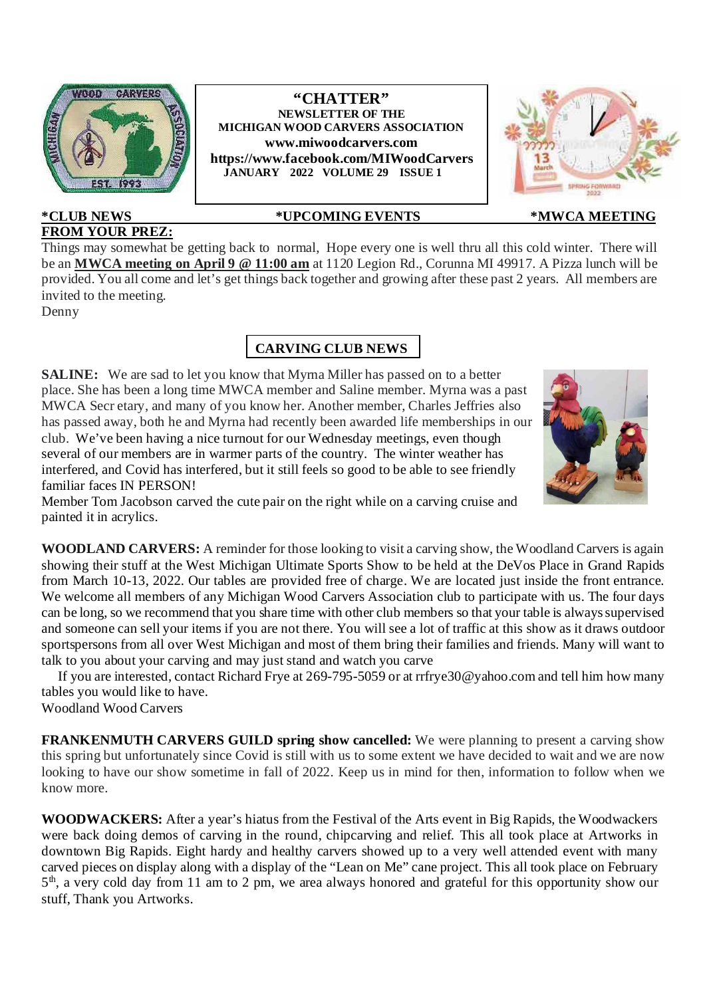

# **FROM YOUR PREZ:**

#### **\*CLUB NEWS \*UPCOMING EVENTS \*MWCA MEETING**

**"CHATTER" NEWSLETTER OF THE MICHIGAN WOOD CARVERS ASSOCIATION www.miwoodcarvers.com https://www.facebook.com/MIWoodCarvers JANUARY 2022 VOLUME 29 ISSUE 1**

Things may somewhat be getting back to normal, Hope every one is well thru all this cold winter. There will be an **MWCA meeting on April 9 @ 11:00 am** at 1120 Legion Rd., Corunna MI 49917. A Pizza lunch will be provided. You all come and let's get things back together and growing after these past 2 years. All members are invited to the meeting.

Denny

### **CARVING CLUB NEWS**

**SALINE:** We are sad to let you know that Myrna Miller has passed on to a better place. She has been a long time MWCA member and Saline member. Myrna was a past MWCA Secr etary, and many of you know her. Another member, Charles Jeffries also has passed away, both he and Myrna had recently been awarded life memberships in our club. We've been having a nice turnout for our Wednesday meetings, even though several of our members are in warmer parts of the country. The winter weather has interfered, and Covid has interfered, but it still feels so good to be able to see friendly familiar faces IN PERSON!



Member Tom Jacobson carved the cute pair on the right while on a carving cruise and painted it in acrylics.

**WOODLAND CARVERS:** A reminder for those looking to visit a carving show, the Woodland Carvers is again showing their stuff at the West Michigan Ultimate Sports Show to be held at the DeVos Place in Grand Rapids from March 10-13, 2022. Our tables are provided free of charge. We are located just inside the front entrance. We welcome all members of any Michigan Wood Carvers Association club to participate with us. The four days can be long, so we recommend that you share time with other club members so that your table is always supervised and someone can sell your items if you are not there. You will see a lot of traffic at this show as it draws outdoor sportspersons from all over West Michigan and most of them bring their families and friends. Many will want to talk to you about your carving and may just stand and watch you carve

If you are interested, contact Richard Frye at 269-795-5059 or at rrfrye30@yahoo.com and tell him how many tables you would like to have.

Woodland Wood Carvers

**FRANKENMUTH CARVERS GUILD spring show cancelled:** We were planning to present a carving show this spring but unfortunately since Covid is still with us to some extent we have decided to wait and we are now looking to have our show sometime in fall of 2022. Keep us in mind for then, information to follow when we know more.

**WOODWACKERS:** After a year's hiatus from the Festival of the Arts event in Big Rapids, the Woodwackers were back doing demos of carving in the round, chipcarving and relief. This all took place at Artworks in downtown Big Rapids. Eight hardy and healthy carvers showed up to a very well attended event with many carved pieces on display along with a display of the "Lean on Me" cane project. This all took place on February 5<sup>th</sup>, a very cold day from 11 am to 2 pm, we area always honored and grateful for this opportunity show our stuff, Thank you Artworks.

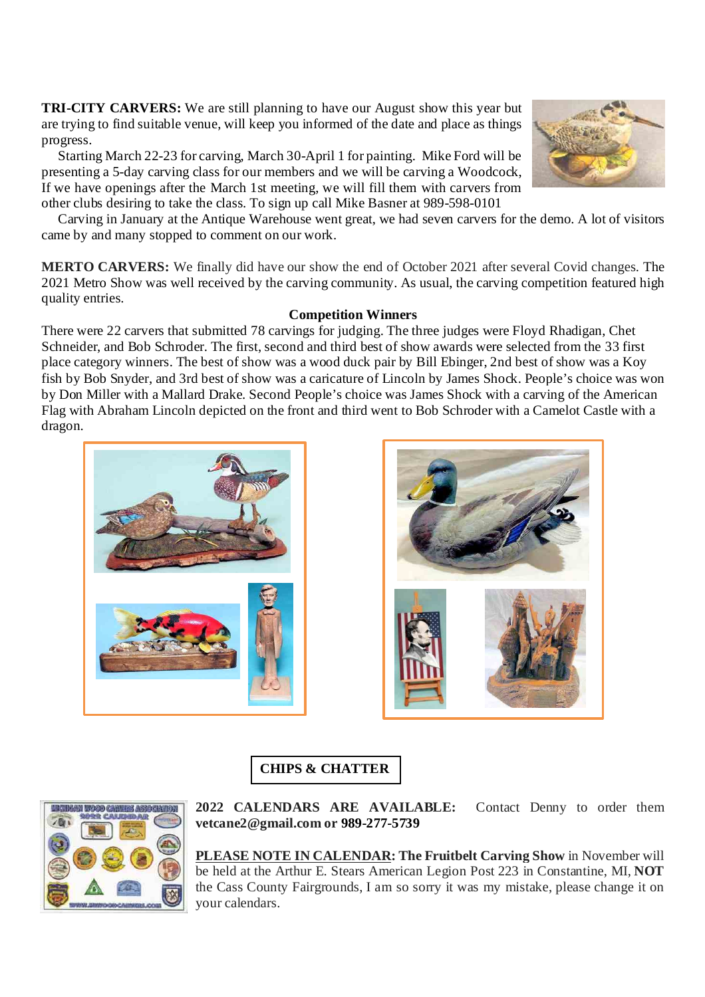**TRI-CITY CARVERS:** We are still planning to have our August show this year but are trying to find suitable venue, will keep you informed of the date and place as things progress.

Starting March 22-23 for carving, March 30-April 1 for painting. Mike Ford will be presenting a 5-day carving class for our members and we will be carving a Woodcock, If we have openings after the March 1st meeting, we will fill them with carvers from other clubs desiring to take the class. To sign up call Mike Basner at 989-598-0101



**MERTO CARVERS:** We finally did have our show the end of October 2021 after several Covid changes. The 2021 Metro Show was well received by the carving community. As usual, the carving competition featured high quality entries.

#### **Competition Winners**

There were 22 carvers that submitted 78 carvings for judging. The three judges were Floyd Rhadigan, Chet Schneider, and Bob Schroder. The first, second and third best of show awards were selected from the 33 first place category winners. The best of show was a wood duck pair by Bill Ebinger, 2nd best of show was a Koy fish by Bob Snyder, and 3rd best of show was a caricature of Lincoln by James Shock. People's choice was won by Don Miller with a Mallard Drake. Second People's choice was James Shock with a carving of the American Flag with Abraham Lincoln depicted on the front and third went to Bob Schroder with a Camelot Castle with a dragon.





## **CHIPS & CHATTER**



**2022 CALENDARS ARE AVAILABLE:** Contact Denny to order them **vetcane2@gmail.com or 989-277-5739**

**PLEASE NOTE IN CALENDAR: The Fruitbelt Carving Show** in November will be held at the Arthur E. Stears American Legion Post 223 in Constantine, MI, **NOT** the Cass County Fairgrounds, I am so sorry it was my mistake, please change it on your calendars.

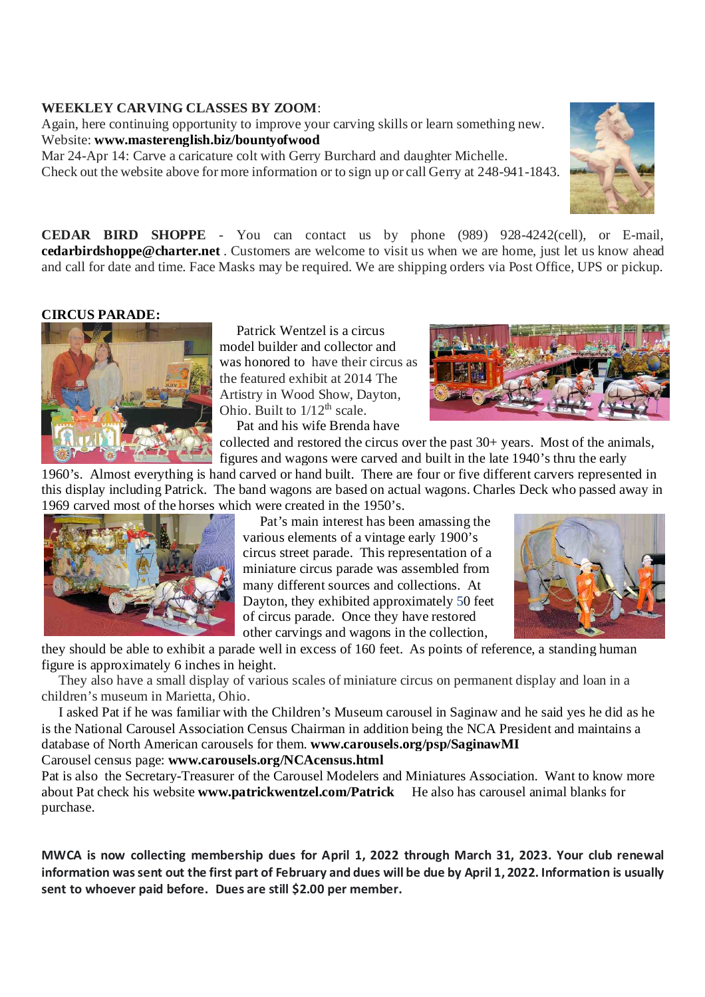#### **WEEKLEY CARVING CLASSES BY ZOOM**:

Again, here continuing opportunity to improve your carving skills or learn something new. Website: **www.masterenglish.biz/bountyofwood**

Mar 24-Apr 14: Carve a caricature colt with Gerry Burchard and daughter Michelle. Check out the website above for more information or to sign up or call Gerry at 248-941-1843.



#### **CIRCUS PARADE:**



Patrick Wentzel is a circus model builder and collector and was honored to have their circus as the featured exhibit at 2014 The Artistry in Wood Show, Dayton, Ohio. Built to  $1/12^{th}$  scale.

Pat and his wife Brenda have



collected and restored the circus over the past 30+ years. Most of the animals, figures and wagons were carved and built in the late 1940's thru the early

1960's. Almost everything is hand carved or hand built. There are four or five different carvers represented in this display including Patrick. The band wagons are based on actual wagons. Charles Deck who passed away in 1969 carved most of the horses which were created in the 1950's.



Pat's main interest has been amassing the various elements of a vintage early 1900's circus street parade. This representation of a miniature circus parade was assembled from many different sources and collections. At Dayton, they exhibited approximately 50 feet of circus parade. Once they have restored other carvings and wagons in the collection,



they should be able to exhibit a parade well in excess of 160 feet. As points of reference, a standing human figure is approximately 6 inches in height.

They also have a small display of various scales of miniature circus on permanent display and loan in a children's museum in Marietta, Ohio.

I asked Pat if he was familiar with the Children's Museum carousel in Saginaw and he said yes he did as he is the National Carousel Association Census Chairman in addition being the NCA President and maintains a database of North American carousels for them. **www.carousels.org/psp/SaginawMI** Carousel census page: **www.carousels.org/NCAcensus.html**

Pat is also the Secretary-Treasurer of the Carousel Modelers and Miniatures Association. Want to know more about Pat check his website **www.patrickwentzel.com/Patrick** He also has carousel animal blanks for purchase.

**MWCA is now collecting membership dues for April 1, 2022 through March 31, 2023. Your club renewal information was sent out the first part of February and dues will be due by April 1, 2022. Information is usually sent to whoever paid before. Dues are still \$2.00 per member.**